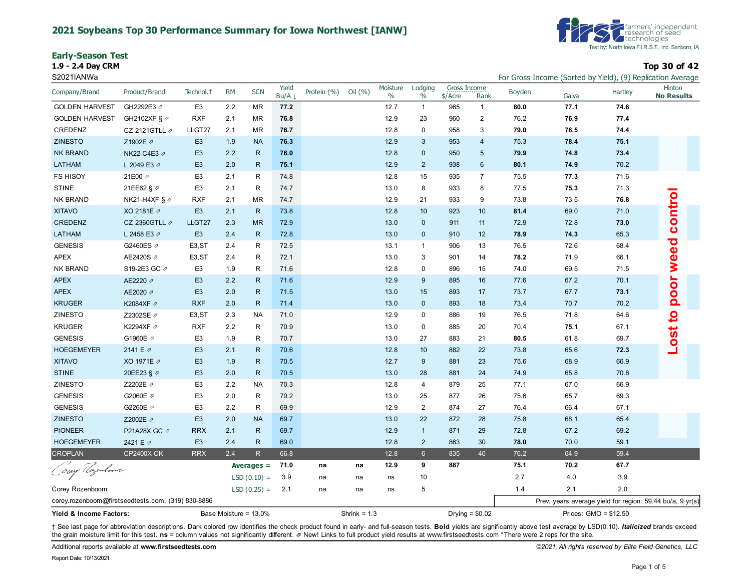#### **2021 Soybeans Top 30 Performance Summary for Iowa Northwest [IANW]**

**Early-Season Test**



**1.9 - 2.4 Day CRM Top 30 of 42**

| S2021IANWa                                         |                           |                       |           |                       |               |             |                |                  |                 |                           |                  |        |       |                       | For Gross Income (Sorted by Yield), (9) Replication Average |
|----------------------------------------------------|---------------------------|-----------------------|-----------|-----------------------|---------------|-------------|----------------|------------------|-----------------|---------------------------|------------------|--------|-------|-----------------------|-------------------------------------------------------------|
| Company/Brand                                      | Product/Brand             | Technol. <sup>+</sup> | <b>RM</b> | <b>SCN</b>            | Yield<br>Bu/A | Protein (%) | Oil $(% )$     | Moisture<br>$\%$ | Lodging<br>$\%$ | Gross Income<br>$$/$ Acre | Rank             | Boyden | Galva | Hartley               | Hinton<br><b>No Results</b>                                 |
| <b>GOLDEN HARVEST</b>                              | GH2292E3 2                | E <sub>3</sub>        | 2.2       | <b>MR</b>             | 77.2          |             |                | 12.7             | $\mathbf{1}$    | 965                       | $\mathbf{1}$     | 80.0   | 77.1  | 74.6                  |                                                             |
| <b>GOLDEN HARVEST</b>                              | GH2102XF § ク              | <b>RXF</b>            | 2.1       | <b>MR</b>             | 76.8          |             |                | 12.9             | 23              | 960                       | $\overline{2}$   | 76.2   | 76.9  | 77.4                  |                                                             |
| CREDENZ                                            | CZ 2121GTLL $\not$        | LLGT27                | 2.1       | <b>MR</b>             | 76.7          |             |                | 12.8             | 0               | 958                       | 3                | 79.0   | 76.5  | 74.4                  |                                                             |
| <b>ZINESTO</b>                                     | Z1902E 2                  | E <sub>3</sub>        | 1.9       | <b>NA</b>             | 76.3          |             |                | 12.9             | 3               | 953                       | $\overline{4}$   | 75.3   | 78.4  | 75.1                  |                                                             |
| <b>NK BRAND</b>                                    | NK22-C4E3 Ø               | E <sub>3</sub>        | 2.2       | $\mathsf{R}$          | 76.0          |             |                | 12.8             | $\mathbf 0$     | 950                       | $\overline{5}$   | 79.9   | 74.8  | 73.4                  |                                                             |
| LATHAM                                             | L 2049 E3 2               | E <sub>3</sub>        | 2.0       | $\mathsf{R}$          | 75.1          |             |                | 12.9             | $\overline{2}$  | 938                       | 6                | 80.1   | 74.9  | 70.2                  |                                                             |
| <b>FS HISOY</b>                                    | 21E00 2                   | E <sub>3</sub>        | 2.1       | R                     | 74.8          |             |                | 12.8             | 15              | 935                       | $\overline{7}$   | 75.5   | 77.3  | 71.6                  |                                                             |
| <b>STINE</b>                                       | 21EE62 § 2                | E <sub>3</sub>        | 2.1       | R                     | 74.7          |             |                | 13.0             | 8               | 933                       | 8                | 77.5   | 75.3  | 71.3                  |                                                             |
| NK BRAND                                           | NK21-H4XF § $\varnothing$ | <b>RXF</b>            | 2.1       | <b>MR</b>             | 74.7          |             |                | 12.9             | 21              | 933                       | 9                | 73.8   | 73.5  | 76.8                  |                                                             |
| <b>XITAVO</b>                                      | XO 2181E 2                | E <sub>3</sub>        | 2.1       | $\mathsf{R}$          | 73.8          |             |                | 12.8             | 10              | 923                       | 10               | 81.4   | 69.0  | 71.0                  |                                                             |
| CREDENZ                                            | CZ 2360GTLL 2             | LLGT27                | 2.3       | <b>MR</b>             | 72.9          |             |                | 13.0             | $\mathbf 0$     | 911                       | 11               | 72.9   | 72.8  | 73.0                  | control                                                     |
| LATHAM                                             | L 2458 E3 2               | E <sub>3</sub>        | 2.4       | $\mathsf{R}$          | 72.8          |             |                | 13.0             | $\mathbf 0$     | 910                       | 12               | 78.9   | 74.3  | 65.3                  |                                                             |
| <b>GENESIS</b>                                     | G2460ES 2                 | E <sub>3</sub> , ST   | 2.4       | R                     | 72.5          |             |                | 13.1             | $\mathbf{1}$    | 906                       | 13               | 76.5   | 72.6  | 68.4                  |                                                             |
| <b>APEX</b>                                        | AE2420S 2                 | E <sub>3</sub> , ST   | 2.4       | R                     | 72.1          |             |                | 13.0             | 3               | 901                       | 14               | 78.2   | 71.9  | 66.1                  |                                                             |
| <b>NK BRAND</b>                                    | S19-2E3 GC 2              | E <sub>3</sub>        | 1.9       | R                     | 71.6          |             |                | 12.8             | 0               | 896                       | 15               | 74.0   | 69.5  | 71.5                  | weed                                                        |
| <b>APEX</b>                                        | AE2220 2                  | E <sub>3</sub>        | 2.2       | $\mathsf{R}$          | 71.6          |             |                | 12.9             | 9               | 895                       | 16               | 77.6   | 67.2  | 70.1                  | poor                                                        |
| <b>APEX</b>                                        | AE2020 2                  | E <sub>3</sub>        | 2.0       | $\mathsf{R}$          | 71.5          |             |                | 13.0             | 15              | 893                       | 17               | 73.7   | 67.7  | 73.1                  |                                                             |
| <b>KRUGER</b>                                      | K2084XF 2                 | <b>RXF</b>            | 2.0       | $\mathsf{R}$          | 71.4          |             |                | 13.0             | $\mathbf 0$     | 893                       | 18               | 73.4   | 70.7  | 70.2                  |                                                             |
| ZINESTO                                            | Z2302SE ク                 | E <sub>3</sub> , ST   | 2.3       | <b>NA</b>             | 71.0          |             |                | 12.9             | $\mathbf 0$     | 886                       | 19               | 76.5   | 71.8  | 64.6                  | <u>o</u>                                                    |
| <b>KRUGER</b>                                      | K2294XF 2                 | <b>RXF</b>            | 2.2       | R                     | 70.9          |             |                | 13.0             | 0               | 885                       | 20               | 70.4   | 75.1  | 67.1                  |                                                             |
| <b>GENESIS</b>                                     | G1960E 2                  | E <sub>3</sub>        | 1.9       | R                     | 70.7          |             |                | 13.0             | 27              | 883                       | 21               | 80.5   | 61.8  | 69.7                  |                                                             |
| <b>HOEGEMEYER</b>                                  | 2141 E 2                  | E <sub>3</sub>        | 2.1       | $\mathsf{R}$          | 70.6          |             |                | 12.8             | 10              | 882                       | 22               | 73.8   | 65.6  | 72.3                  | Lost                                                        |
| <b>XITAVO</b>                                      | XO 1971E 2                | E <sub>3</sub>        | 1.9       | $\mathsf{R}$          | 70.5          |             |                | 12.7             | 9               | 881                       | 23               | 75.6   | 68.9  | 66.9                  |                                                             |
| <b>STINE</b>                                       | 20EE23 § 2                | E <sub>3</sub>        | 2.0       | $\mathsf{R}$          | 70.5          |             |                | 13.0             | 28              | 881                       | 24               | 74.9   | 65.8  | 70.8                  |                                                             |
| ZINESTO                                            | Z2202E 2                  | E <sub>3</sub>        | 2.2       | <b>NA</b>             | 70.3          |             |                | 12.8             | 4               | 879                       | 25               | 77.1   | 67.0  | 66.9                  |                                                             |
| <b>GENESIS</b>                                     | G2060E 2                  | E <sub>3</sub>        | 2.0       | R                     | 70.2          |             |                | 13.0             | 25              | 877                       | 26               | 75.6   | 65.7  | 69.3                  |                                                             |
| <b>GENESIS</b>                                     | G2260E 2                  | E <sub>3</sub>        | 2.2       | R                     | 69.9          |             |                | 12.9             | $\overline{2}$  | 874                       | 27               | 76.4   | 66.4  | 67.1                  |                                                             |
| <b>ZINESTO</b>                                     | Z2002E 2                  | E <sub>3</sub>        | 2.0       | <b>NA</b>             | 69.7          |             |                | 13.0             | 22              | 872                       | 28               | 75.8   | 68.1  | 65.4                  |                                                             |
| <b>PIONEER</b>                                     | P21A28X GC の              | <b>RRX</b>            | 2.1       | $\mathsf{R}$          | 69.7          |             |                | 12.9             | $\mathbf{1}$    | 871                       | 29               | 72.8   | 67.2  | 69.2                  |                                                             |
| <b>HOEGEMEYER</b>                                  | 2421 E 2                  | E <sub>3</sub>        | 2.4       | $\mathsf{R}$          | 69.0          |             |                | 12.8             | $\overline{2}$  | 863                       | 30               | 78.0   | 70.0  | 59.1                  |                                                             |
| <b>CROPLAN</b>                                     | <b>CP2400X CK</b>         | <b>RRX</b>            | 2.4       | R                     | 66.8          |             |                | 12.8             | $6\overline{6}$ | 835                       | 40               | 76.2   | 64.9  | 59.4                  |                                                             |
|                                                    |                           |                       |           | Averages $=$          | 71.0          | na          | na             | 12.9             | 9               | 887                       |                  | 75.1   | 70.2  | 67.7                  |                                                             |
| orey Hajenboom                                     |                           |                       |           | $LSD(0.10) =$         | 3.9           | na          | na             | ns               | 10              |                           |                  | 2.7    | 4.0   | 3.9                   |                                                             |
| Corey Rozenboom                                    |                           |                       |           | $LSD(0.25) =$         | 2.1           | na          | na             | ns               | 5               |                           |                  | 1.4    | 2.1   | 2.0                   |                                                             |
| corey.rozenboom@firstseedtests.com, (319) 830-8886 |                           |                       |           |                       |               |             |                |                  |                 |                           |                  |        |       |                       | Prev. years average yield for region: 59.44 bu/a, 9 yr(s)   |
| Yield & Income Factors:                            |                           |                       |           | Base Moisture = 13.0% |               |             | Shrink = $1.3$ |                  |                 |                           | Drying = $$0.02$ |        |       | Prices: GMO = \$12.50 |                                                             |

+ See last page for abbreviation descriptions. Dark colored row identifies the check product found in early- and full-season tests. Bold yields are significantly above test average by LSD(0.10). Italicized brands exceed the grain moisture limit for this test. **ns** = column values not significantly different. ⇗ New! Links to full product yield results at www.firstseedtests.com \*There were 2 reps for the site.

Additional reports available at **[www.firstseedtests.com](https://www.firstseedtests.com)** *©2021, All rights reserved by Elite Field Genetics, LLC*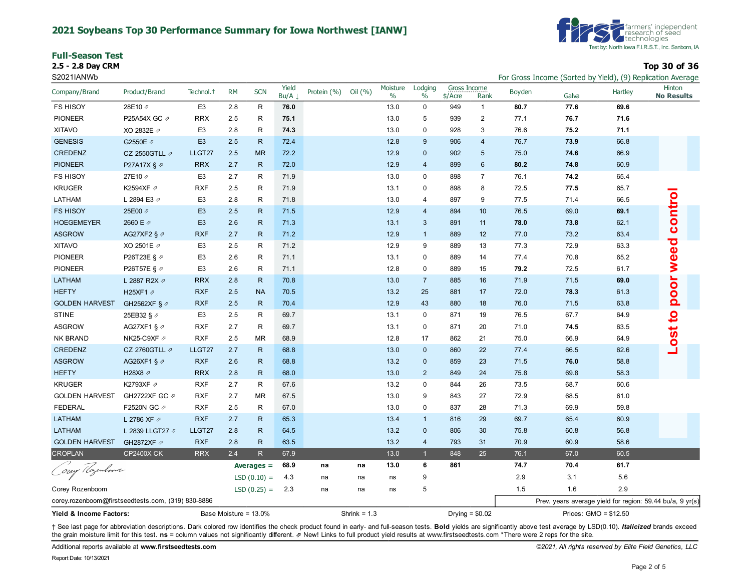#### **2021 Soybeans Top 30 Performance Summary for Iowa Northwest [IANW]**

|  |  | <b>Full-Season Test</b> |
|--|--|-------------------------|
|  |  | 5 F. 5 A.B.J. ABM.      |



**2.5 - 2.8 Day CRM Top 30 of 36**

| S2021IANWb                                         |                         |                       |                       |               |               |             |                |                  |                 |                         |                  |        |                       |                | For Gross Income (Sorted by Yield), (9) Replication Average |
|----------------------------------------------------|-------------------------|-----------------------|-----------------------|---------------|---------------|-------------|----------------|------------------|-----------------|-------------------------|------------------|--------|-----------------------|----------------|-------------------------------------------------------------|
| Company/Brand                                      | Product/Brand           | Technol. <sup>+</sup> | <b>RM</b>             | <b>SCN</b>    | Yield<br>Bu/A | Protein (%) | Oil (%)        | Moisture<br>$\%$ | Lodging<br>$\%$ | Gross Income<br>\$/Acre | Rank             | Boyden | Galva                 | <b>Hartley</b> | Hinton<br><b>No Results</b>                                 |
| <b>FS HISOY</b>                                    | 28E10 2                 | E <sub>3</sub>        | 2.8                   | R             | 76.0          |             |                | 13.0             | 0               | 949                     | $\mathbf{1}$     | 80.7   | 77.6                  | 69.6           |                                                             |
| <b>PIONEER</b>                                     | P25A54X GC 2            | <b>RRX</b>            | 2.5                   | R             | 75.1          |             |                | 13.0             | 5               | 939                     | $\sqrt{2}$       | 77.1   | 76.7                  | 71.6           |                                                             |
| <b>XITAVO</b>                                      | XO 2832E 2              | E <sub>3</sub>        | 2.8                   | R             | 74.3          |             |                | 13.0             | $\mathbf 0$     | 928                     | 3                | 76.6   | 75.2                  | 71.1           |                                                             |
| <b>GENESIS</b>                                     | G2550E 2                | E <sub>3</sub>        | 2.5                   | $\mathsf{R}$  | 72.4          |             |                | 12.8             | 9               | 906                     | $\overline{4}$   | 76.7   | 73.9                  | 66.8           |                                                             |
| CREDENZ                                            | CZ 2550GTLL $\neg$      | LLGT27                | 2.5                   | <b>MR</b>     | 72.2          |             |                | 12.9             | $\mathbf 0$     | 902                     | 5                | 75.0   | 74.6                  | 66.9           |                                                             |
| <b>PIONEER</b>                                     | P27A17X § $\varnothing$ | <b>RRX</b>            | 2.7                   | $\mathsf{R}$  | 72.0          |             |                | 12.9             | $\overline{4}$  | 899                     | $6\phantom{1}$   | 80.2   | 74.8                  | 60.9           |                                                             |
| <b>FS HISOY</b>                                    | 27E10 A                 | E <sub>3</sub>        | 2.7                   | R             | 71.9          |             |                | 13.0             | $\mathbf 0$     | 898                     | $\overline{7}$   | 76.1   | 74.2                  | 65.4           |                                                             |
| <b>KRUGER</b>                                      | K2594XF 2               | <b>RXF</b>            | 2.5                   | R             | 71.9          |             |                | 13.1             | $\mathbf 0$     | 898                     | 8                | 72.5   | 77.5                  | 65.7           |                                                             |
| LATHAM                                             | L 2894 E3 $\varnothing$ | E <sub>3</sub>        | 2.8                   | R             | 71.8          |             |                | 13.0             | $\overline{4}$  | 897                     | 9                | 77.5   | 71.4                  | 66.5           |                                                             |
| <b>FS HISOY</b>                                    | 25E00 2                 | E <sub>3</sub>        | 2.5                   | $\mathsf{R}$  | 71.5          |             |                | 12.9             | $\overline{4}$  | 894                     | 10               | 76.5   | 69.0                  | 69.1           |                                                             |
| <b>HOEGEMEYER</b>                                  | 2660 E 2                | E <sub>3</sub>        | 2.6                   | $\mathsf{R}$  | 71.3          |             |                | 13.1             | 3               | 891                     | 11               | 78.0   | 73.8                  | 62.1           | control                                                     |
| <b>ASGROW</b>                                      | AG27XF2 § 2             | <b>RXF</b>            | 2.7                   | $\mathsf{R}$  | 71.2          |             |                | 12.9             | $\mathbf{1}$    | 889                     | 12               | 77.0   | 73.2                  | 63.4           |                                                             |
| <b>XITAVO</b>                                      | XO 2501E 2              | E <sub>3</sub>        | 2.5                   | R             | 71.2          |             |                | 12.9             | 9               | 889                     | 13               | 77.3   | 72.9                  | 63.3           | $\overline{6}$                                              |
| <b>PIONEER</b>                                     | P26T23E § 2             | E <sub>3</sub>        | 2.6                   | R             | 71.1          |             |                | 13.1             | 0               | 889                     | 14               | 77.4   | 70.8                  | 65.2           |                                                             |
| <b>PIONEER</b>                                     | P26T57E § ク             | E <sub>3</sub>        | 2.6                   | R             | 71.1          |             |                | 12.8             | $\mathbf 0$     | 889                     | 15               | 79.2   | 72.5                  | 61.7           | <b>S</b>                                                    |
| LATHAM                                             | L 2887 R2X 2            | <b>RRX</b>            | 2.8                   | $\mathsf{R}$  | 70.8          |             |                | 13.0             | $\overline{7}$  | 885                     | 16               | 71.9   | 71.5                  | 69.0           |                                                             |
| <b>HEFTY</b>                                       | H25XF1 2                | <b>RXF</b>            | 2.5                   | <b>NA</b>     | 70.5          |             |                | 13.2             | 25              | 881                     | 17               | 72.0   | 78.3                  | 61.3           | pool                                                        |
| <b>GOLDEN HARVEST</b>                              | GH2562XF § 2            | <b>RXF</b>            | 2.5                   | $\mathsf{R}$  | 70.4          |             |                | 12.9             | 43              | 880                     | 18               | 76.0   | 71.5                  | 63.8           |                                                             |
| <b>STINE</b>                                       | 25EB32 § 2              | E <sub>3</sub>        | 2.5                   | R             | 69.7          |             |                | 13.1             | 0               | 871                     | 19               | 76.5   | 67.7                  | 64.9           | $\overline{\mathbf{c}}$                                     |
| <b>ASGROW</b>                                      | AG27XF1 § $\varnothing$ | <b>RXF</b>            | 2.7                   | R             | 69.7          |             |                | 13.1             | $\mathbf 0$     | 871                     | 20               | 71.0   | 74.5                  | 63.5           |                                                             |
| <b>NK BRAND</b>                                    | NK25-C9XF ク             | <b>RXF</b>            | 2.5                   | <b>MR</b>     | 68.9          |             |                | 12.8             | 17              | 862                     | 21               | 75.0   | 66.9                  | 64.9           |                                                             |
| CREDENZ                                            | CZ 2760GTLL <i>の</i>    | LLGT27                | 2.7                   | $\mathsf{R}$  | 68.8          |             |                | 13.0             | $\mathbf 0$     | 860                     | 22               | 77.4   | 66.5                  | 62.6           | Lost <sup>-</sup>                                           |
| <b>ASGROW</b>                                      | AG26XF1 § $\varnothing$ | <b>RXF</b>            | 2.6                   | $\mathsf{R}$  | 68.8          |             |                | 13.2             | $\mathbf 0$     | 859                     | 23               | 71.5   | 76.0                  | 58.8           |                                                             |
| <b>HEFTY</b>                                       | H28X8 2                 | <b>RRX</b>            | 2.8                   | $\mathsf{R}$  | 68.0          |             |                | 13.0             | 2               | 849                     | 24               | 75.8   | 69.8                  | 58.3           |                                                             |
| <b>KRUGER</b>                                      | K2793XF 2               | <b>RXF</b>            | 2.7                   | R             | 67.6          |             |                | 13.2             | $\mathbf 0$     | 844                     | 26               | 73.5   | 68.7                  | 60.6           |                                                             |
| <b>GOLDEN HARVEST</b>                              | GH2722XF GC 2           | <b>RXF</b>            | 2.7                   | <b>MR</b>     | 67.5          |             |                | 13.0             | 9               | 843                     | 27               | 72.9   | 68.5                  | 61.0           |                                                             |
| <b>FEDERAL</b>                                     | F2520N GC 2             | <b>RXF</b>            | 2.5                   | R             | 67.0          |             |                | 13.0             | $\mathbf 0$     | 837                     | 28               | 71.3   | 69.9                  | 59.8           |                                                             |
| LATHAM                                             | L 2786 XF 2             | <b>RXF</b>            | 2.7                   | $\mathsf{R}$  | 65.3          |             |                | 13.4             | $\mathbf{1}$    | 816                     | 29               | 69.7   | 65.4                  | 60.9           |                                                             |
| <b>LATHAM</b>                                      | L 2839 LLGT27 2         | LLGT27                | 2.8                   | $\mathsf{R}$  | 64.5          |             |                | 13.2             | $\mathbf{0}$    | 806                     | 30               | 75.8   | 60.8                  | 56.8           |                                                             |
| <b>GOLDEN HARVEST</b>                              | GH2872XF 2              | <b>RXF</b>            | 2.8                   | $\mathsf{R}$  | 63.5          |             |                | 13.2             | $\overline{4}$  | 793                     | 31               | 70.9   | 60.9                  | 58.6           |                                                             |
| <b>CROPLAN</b>                                     | <b>CP2400X CK</b>       | <b>RRX</b>            | 2.4                   | $\mathsf{R}$  | 67.9          |             |                | 13.0             | $\mathbf{1}$    | 848                     | 25               | 76.1   | 67.0                  | 60.5           |                                                             |
| Corey Regulars                                     |                         |                       |                       | Averages $=$  | 68.9          | na          | na             | 13.0             | 6               | 861                     |                  | 74.7   | 70.4                  | 61.7           |                                                             |
|                                                    |                         |                       |                       | $LSD(0.10) =$ | 4.3           | na          | na             | ns               | 9               |                         |                  | 2.9    | 3.1                   | 5.6            |                                                             |
| Corey Rozenboom                                    |                         |                       |                       | $LSD(0.25) =$ | 2.3           | na          | na             | ns               | 5               |                         |                  | 1.5    | 1.6                   | 2.9            |                                                             |
| corey.rozenboom@firstseedtests.com, (319) 830-8886 |                         |                       |                       |               |               |             |                |                  |                 |                         |                  |        |                       |                | Prev. years average yield for region: 59.44 bu/a, 9 yr(s)   |
| Yield & Income Factors:                            |                         |                       | Base Moisture = 13.0% |               |               |             | Shrink = $1.3$ |                  |                 |                         | Drying = $$0.02$ |        | Prices: GMO = \$12.50 |                |                                                             |

+ See last page for abbreviation descriptions. Dark colored row identifies the check product found in early- and full-season tests. Bold yields are significantly above test average by LSD(0.10). Italicized brands exceed the grain moisture limit for this test. **ns** = column values not significantly different. ⇗ New! Links to full product yield results at www.firstseedtests.com \*There were 2 reps for the site.

Additional reports available at **[www.firstseedtests.com](https://www.firstseedtests.com)** *©2021, All rights reserved by Elite Field Genetics, LLC*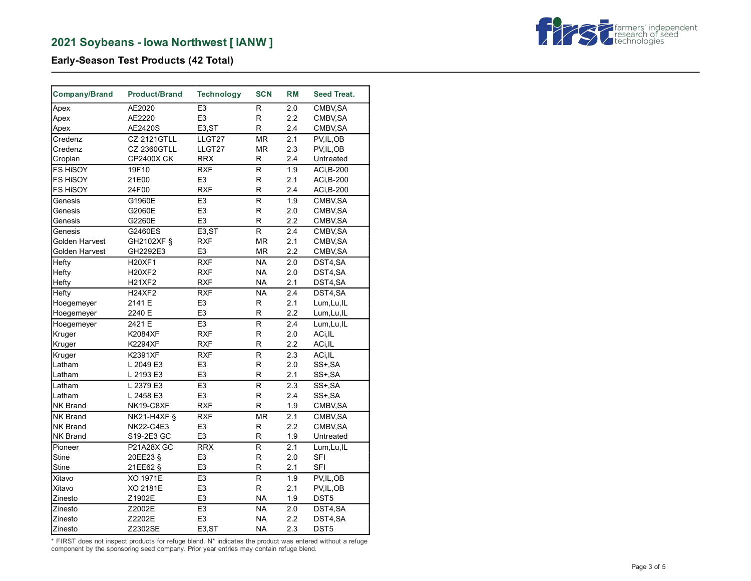

**Early-Season Test Products (42 Total)**

| <b>Company/Brand</b> | <b>Product/Brand</b> | <b>Technology</b>   | <b>SCN</b>              | <b>RM</b> | <b>Seed Treat.</b> |
|----------------------|----------------------|---------------------|-------------------------|-----------|--------------------|
| Apex                 | AE2020               | E <sub>3</sub>      | R                       | 2.0       | CMBV, SA           |
| Apex                 | AE2220               | E <sub>3</sub>      | R                       | 2.2       | CMBV, SA           |
| Apex                 | AE2420S              | E <sub>3</sub> ,ST  | R                       | 2.4       | CMBV, SA           |
| Credenz              | <b>CZ 2121GTLL</b>   | LLGT27              | <b>MR</b>               | 2.1       | PV, IL, OB         |
| Credenz              | <b>CZ 2360GTLL</b>   | LLGT27              | <b>MR</b>               | 2.3       | PV, IL, OB         |
| Croplan              | <b>CP2400X CK</b>    | <b>RRX</b>          | R                       | 2.4       | Untreated          |
| FS HISOY             | 19F10                | <b>RXF</b>          | R                       | 1.9       | ACi, B-200         |
| FS HISOY             | 21E00                | E <sub>3</sub>      | R                       | 2.1       | ACi, B-200         |
| <b>FS HISOY</b>      | 24F00                | <b>RXF</b>          | R                       | 2.4       | ACi, B-200         |
| Genesis              | G1960E               | E <sub>3</sub>      | R                       | 1.9       | CMBV, SA           |
| Genesis              | G2060E               | E <sub>3</sub>      | R                       | 2.0       | CMBV, SA           |
| Genesis              | G2260E               | E <sub>3</sub>      | R                       | 2.2       | CMBV, SA           |
| Genesis              | G2460ES              | E <sub>3</sub> ,ST  | R                       | 2.4       | CMBV, SA           |
| Golden Harvest       | GH2102XF §           | <b>RXF</b>          | MR                      | 2.1       | CMBV, SA           |
| Golden Harvest       | GH2292E3             | E <sub>3</sub>      | <b>MR</b>               | 2.2       | CMBV, SA           |
| Hefty                | H20XF1               | <b>RXF</b>          | <b>NA</b>               | 2.0       | DST4,SA            |
| Hefty                | <b>H20XF2</b>        | <b>RXF</b>          | <b>NA</b>               | 2.0       | DST4,SA            |
| Hefty                | <b>H21XF2</b>        | <b>RXF</b>          | <b>NA</b>               | 2.1       | DST4,SA            |
| Hefty                | <b>H24XF2</b>        | <b>RXF</b>          | <b>NA</b>               | 2.4       | DST4,SA            |
| Hoegemeyer           | 2141 E               | E <sub>3</sub>      | R                       | 2.1       | Lum, Lu, IL        |
| Hoegemeyer           | 2240 E               | E <sub>3</sub>      | R                       | 2.2       | Lum, Lu, IL        |
| Hoegemeyer           | 2421 E               | E <sub>3</sub>      | R                       | 2.4       | Lum, Lu, IL        |
| Kruger               | K2084XF              | <b>RXF</b>          | R                       | 2.0       | ACi, IL            |
| Kruger               | <b>K2294XF</b>       | <b>RXF</b>          | R                       | 2.2       | ACi, IL            |
| Kruger               | K2391XF              | <b>RXF</b>          | R                       | 2.3       | ACi, IL            |
| Latham               | L 2049 E3            | E <sub>3</sub>      | R                       | 2.0       | SS+, SA            |
| Latham               | L 2193 E3            | E <sub>3</sub>      | R                       | 2.1       | SS+, SA            |
| Latham               | L 2379 E3            | E <sub>3</sub>      | $\overline{R}$          | 2.3       | SS+, SA            |
| Latham               | L 2458 E3            | E <sub>3</sub>      | R                       | 2.4       | SS+, SA            |
| <b>NK Brand</b>      | NK19-C8XF            | <b>RXF</b>          | R                       | 1.9       | CMBV, SA           |
| NK Brand             | <b>NK21-H4XF §</b>   | <b>RXF</b>          | MR                      | 2.1       | CMBV, SA           |
| <b>NK Brand</b>      | <b>NK22-C4E3</b>     | E <sub>3</sub>      | $\mathsf R$             | 2.2       | CMBV, SA           |
| <b>NK Brand</b>      | S19-2E3 GC           | E <sub>3</sub>      | R                       | 1.9       | Untreated          |
| Pioneer              | P21A28X GC           | <b>RRX</b>          | $\overline{\mathsf{R}}$ | 2.1       | Lum, Lu, IL        |
| <b>Stine</b>         | 20EE23 §             | E <sub>3</sub>      | R                       | 2.0       | <b>SFI</b>         |
| <b>Stine</b>         | 21EE62 §             | E <sub>3</sub>      | R                       | 2.1       | <b>SFI</b>         |
| Xitavo               | XO 1971E             | E <sub>3</sub>      | $\overline{R}$          | 1.9       | PV, IL, OB         |
| Xitavo               | XO 2181E             | E <sub>3</sub>      | $\mathsf R$             | 2.1       | PV, IL, OB         |
| Zinesto              | Z1902E               | E <sub>3</sub>      | <b>NA</b>               | 1.9       | DST5               |
| Zinesto              | Z2002E               | E <sub>3</sub>      | <b>NA</b>               | 2.0       | DST4,SA            |
| Zinesto              | Z2202E               | E <sub>3</sub>      | <b>NA</b>               | 2.2       | DST4,SA            |
| Zinesto              | Z2302SE              | E <sub>3</sub> , ST | <b>NA</b>               | 2.3       | DST5               |

\* FIRST does not inspect products for refuge blend. N\* indicates the product was entered without a refuge component by the sponsoring seed company. Prior year entries may contain refuge blend.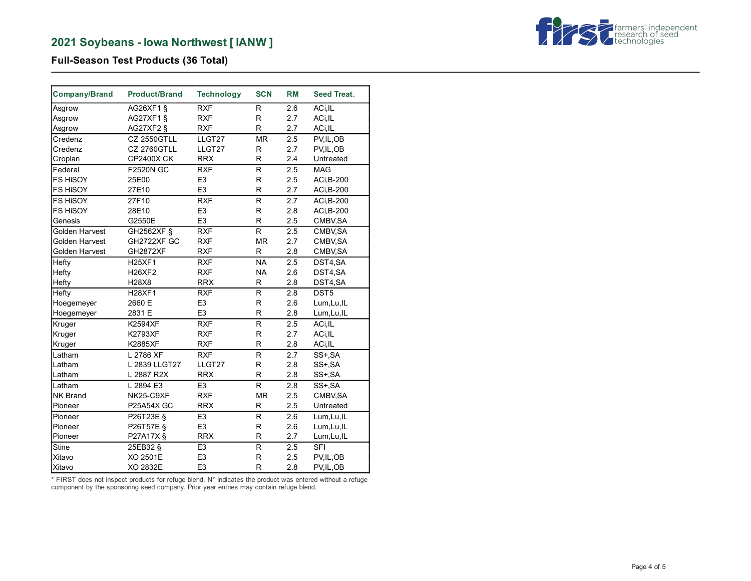

# **Full-Season Test Products (36 Total)**

| Company/Brand   | <b>Product/Brand</b> | <b>Technology</b> | <b>SCN</b>   | <b>RM</b> | <b>Seed Treat.</b> |
|-----------------|----------------------|-------------------|--------------|-----------|--------------------|
| Asgrow          | AG26XF1 §            | <b>RXF</b>        | R            | 2.6       | ACi, IL            |
| Asgrow          | AG27XF1 §            | <b>RXF</b>        | R            | 2.7       | ACi, IL            |
| Asgrow          | AG27XF2 §            | <b>RXF</b>        | R            | 2.7       | ACi, IL            |
| Credenz         | <b>CZ 2550GTLL</b>   | LLGT27            | <b>MR</b>    | 2.5       | PV, IL, OB         |
| Credenz         | <b>CZ 2760GTLL</b>   | LLGT27            | R            | 2.7       | PV, IL, OB         |
| Croplan         | <b>CP2400X CK</b>    | <b>RRX</b>        | R            | 2.4       | Untreated          |
| Federal         | <b>F2520N GC</b>     | <b>RXF</b>        | R.           | 2.5       | <b>MAG</b>         |
| FS HISOY        | 25E00                | E <sub>3</sub>    | R            | 2.5       | ACi, B-200         |
| FS HISOY        | 27E10                | E <sub>3</sub>    | R            | 2.7       | ACi, B-200         |
| FS HISOY        | 27F10                | <b>RXF</b>        | R            | 2.7       | ACi, B-200         |
| <b>FS HISOY</b> | 28E10                | E <sub>3</sub>    | R            | 2.8       | ACi, B-200         |
| Genesis         | G2550E               | E <sub>3</sub>    | R            | 2.5       | CMBV, SA           |
| Golden Harvest  | GH2562XF §           | <b>RXF</b>        | $\mathsf{R}$ | 2.5       | CMBV, SA           |
| Golden Harvest  | GH2722XF GC          | <b>RXF</b>        | <b>MR</b>    | 2.7       | CMBV, SA           |
| Golden Harvest  | <b>GH2872XF</b>      | <b>RXF</b>        | R            | 2.8       | CMBV, SA           |
| Hefty           | <b>H25XF1</b>        | <b>RXF</b>        | <b>NA</b>    | 2.5       | DST4,SA            |
| Hefty           | <b>H26XF2</b>        | <b>RXF</b>        | <b>NA</b>    | 2.6       | DST4,SA            |
| Hefty           | H28X8                | <b>RRX</b>        | R            | 2.8       | DST4,SA            |
| Hefty           | <b>H28XF1</b>        | <b>RXF</b>        | R.           | 2.8       | DST5               |
| Hoegemeyer      | 2660 E               | E <sub>3</sub>    | $\mathsf{R}$ | 2.6       | Lum, Lu, IL        |
| Hoegemeyer      | 2831 E               | E <sub>3</sub>    | $\mathsf{R}$ | 2.8       | Lum, Lu, IL        |
| Kruger          | <b>K2594XF</b>       | <b>RXF</b>        | R.           | 2.5       | ACi, IL            |
| Kruger          | <b>K2793XF</b>       | <b>RXF</b>        | R            | 2.7       | ACi, IL            |
| Kruger          | <b>K2885XF</b>       | <b>RXF</b>        | $\mathsf{R}$ | 2.8       | ACi, IL            |
| Latham          | L 2786 XF            | <b>RXF</b>        | R            | 2.7       | SS+ SA             |
| Latham          | L 2839 LLGT27        | LLGT27            | $\mathsf{R}$ | 2.8       | SS+, SA            |
| Latham          | L 2887 R2X           | <b>RRX</b>        | R            | 2.8       | SS+, SA            |
| Latham          | L 2894 E3            | E <sub>3</sub>    | R            | 2.8       | SS+ SA             |
| NK Brand        | NK25-C9XF            | <b>RXF</b>        | <b>MR</b>    | 2.5       | CMBV, SA           |
| Pioneer         | P25A54X GC           | <b>RRX</b>        | R            | 2.5       | Untreated          |
| Pioneer         | P26T23E §            | E <sub>3</sub>    | R            | 2.6       | Lum, Lu, IL        |
| Pioneer         | P26T57E §            | E <sub>3</sub>    | $\mathsf{R}$ | 2.6       | Lum, Lu, IL        |
| Pioneer         | P27A17X §            | <b>RRX</b>        | R            | 2.7       | Lum, Lu, IL        |
| <b>Stine</b>    | 25EB32 §             | E <sub>3</sub>    | $\mathsf{R}$ | 2.5       | <b>SFI</b>         |
| Xitavo          | XO 2501E             | E <sub>3</sub>    | $\mathsf R$  | 2.5       | PV, IL, OB         |
| Xitavo          | XO 2832E             | E <sub>3</sub>    | $\mathsf{R}$ | 2.8       | PV, IL, OB         |

\* FIRST does not inspect products for refuge blend. N\* indicates the product was entered without a refuge component by the sponsoring seed company. Prior year entries may contain refuge blend.